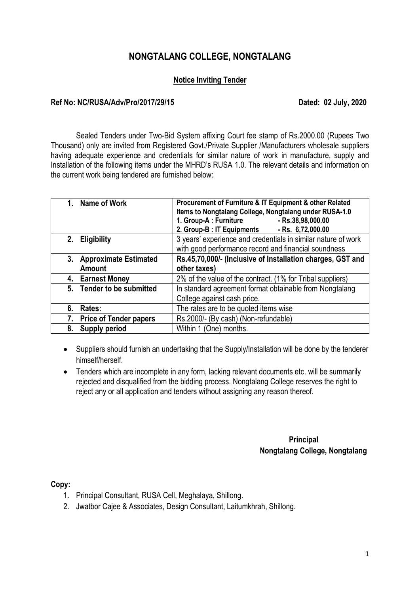## **NONGTALANG COLLEGE, NONGTALANG**

#### **Notice Inviting Tender**

#### **Ref No: NC/RUSA/Adv/Pro/2017/29/15 Dated: 02 July, 2020**

Sealed Tenders under Two-Bid System affixing Court fee stamp of Rs.2000.00 (Rupees Two Thousand) only are invited from Registered Govt./Private Supplier /Manufacturers wholesale suppliers having adequate experience and credentials for similar nature of work in manufacture, supply and Installation of the following items under the MHRD's RUSA 1.0. The relevant details and information on the current work being tendered are furnished below:

| Name of Work<br>$1_{-}$                             | Procurement of Furniture & IT Equipment & other Related<br>Items to Nongtalang College, Nongtalang under RUSA-1.0<br>1. Group-A : Furniture<br>- Rs.38,98,000.00<br>2. Group-B : IT Equipments<br>$-Rs. 6,72,000.00$ |  |  |
|-----------------------------------------------------|----------------------------------------------------------------------------------------------------------------------------------------------------------------------------------------------------------------------|--|--|
| <b>Eligibility</b><br>2.                            | 3 years' experience and credentials in similar nature of work<br>with good performance record and financial soundness                                                                                                |  |  |
| <b>Approximate Estimated</b><br>3.<br><b>Amount</b> | Rs.45,70,000/- (Inclusive of Installation charges, GST and<br>other taxes)                                                                                                                                           |  |  |
| 4. Earnest Money                                    | 2% of the value of the contract. (1% for Tribal suppliers)                                                                                                                                                           |  |  |
| 5. Tender to be submitted                           | In standard agreement format obtainable from Nongtalang<br>College against cash price.                                                                                                                               |  |  |
| 6.<br>Rates:                                        | The rates are to be quoted items wise                                                                                                                                                                                |  |  |
| <b>Price of Tender papers</b>                       | Rs.2000/- (By cash) (Non-refundable)                                                                                                                                                                                 |  |  |
| 8.<br><b>Supply period</b>                          | Within 1 (One) months.                                                                                                                                                                                               |  |  |

• Suppliers should furnish an undertaking that the Supply/Installation will be done by the tenderer himself/herself.

• Tenders which are incomplete in any form, lacking relevant documents etc. will be summarily rejected and disqualified from the bidding process. Nongtalang College reserves the right to reject any or all application and tenders without assigning any reason thereof.

> **Principal Nongtalang College, Nongtalang**

**Copy:** 

- 1. Principal Consultant, RUSA Cell, Meghalaya, Shillong.
- 2. Jwatbor Cajee & Associates, Design Consultant, Laitumkhrah, Shillong.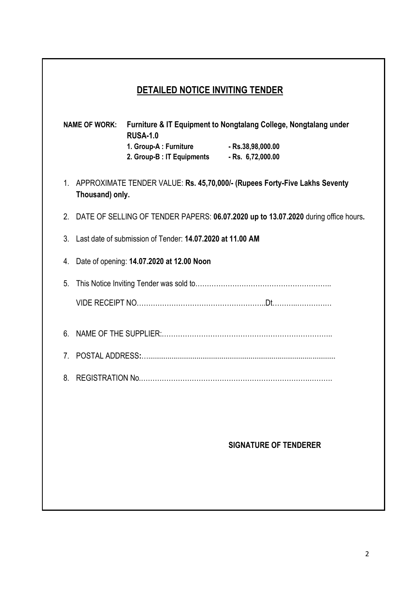# **DETAILED NOTICE INVITING TENDER**

|                |                 | <b>RUSA-1.0</b>                                                        | NAME OF WORK: Furniture & IT Equipment to Nongtalang College, Nongtalang under     |
|----------------|-----------------|------------------------------------------------------------------------|------------------------------------------------------------------------------------|
|                |                 | 1. Group-A : Furniture<br>2. Group-B : IT Equipments - Rs. 6,72,000.00 | $-Rs.38,98,000.00$                                                                 |
|                | Thousand) only. |                                                                        | 1. APPROXIMATE TENDER VALUE: Rs. 45,70,000/- (Rupees Forty-Five Lakhs Seventy      |
| 2.             |                 |                                                                        | DATE OF SELLING OF TENDER PAPERS: 06.07.2020 up to 13.07.2020 during office hours. |
| 3.             |                 | Last date of submission of Tender: 14.07.2020 at 11.00 AM              |                                                                                    |
| 4.             |                 | Date of opening: 14.07.2020 at 12.00 Noon                              |                                                                                    |
| 5.             |                 |                                                                        |                                                                                    |
|                |                 |                                                                        |                                                                                    |
| 6.             |                 |                                                                        |                                                                                    |
| 7 <sub>1</sub> |                 |                                                                        |                                                                                    |
| 8.             |                 |                                                                        |                                                                                    |
|                |                 |                                                                        |                                                                                    |
|                |                 |                                                                        |                                                                                    |
|                |                 |                                                                        | <b>SIGNATURE OF TENDERER</b>                                                       |
|                |                 |                                                                        |                                                                                    |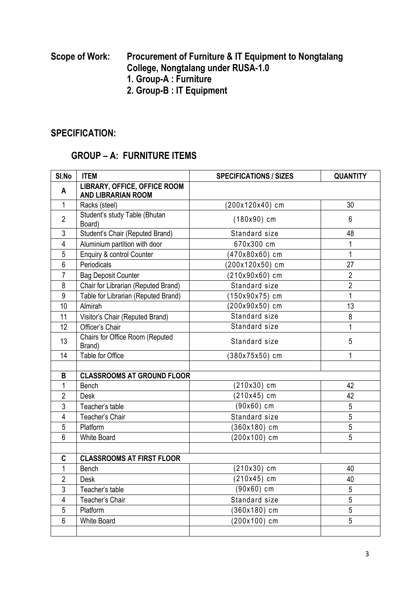### **Scope of Work: Procurement of Furniture & IT Equipment to Nongtalang College, Nongtalang under RUSA-1.0 1. Group-A : Furniture 2. Group-B : IT Equipment**

### **SPECIFICATION:**

## **GROUP – A: FURNITURE ITEMS**

| SI.No          | <b>ITEM</b>                                                      | <b>SPECIFICATIONS / SIZES</b> | <b>QUANTITY</b> |
|----------------|------------------------------------------------------------------|-------------------------------|-----------------|
| A              | <b>LIBRARY, OFFICE, OFFICE ROOM</b><br><b>AND LIBRARIAN ROOM</b> |                               |                 |
| $\mathbf{1}$   | Racks (steel)                                                    | (200x120x40) cm               | 30              |
| $\overline{2}$ | Student's study Table (Bhutan<br>Board)                          | $(180x90)$ cm                 | 6               |
| 3              | Student's Chair (Reputed Brand)                                  | Standard size                 | 48              |
| 4              | Aluminium partition with door                                    | 670x300 cm                    | 1               |
| 5              | Enquiry & control Counter                                        | (470x80x60) cm                | $\mathbf{1}$    |
| 6              | Periodicals                                                      | (200x120x50) cm               | 27              |
| $\overline{7}$ | <b>Bag Deposit Counter</b>                                       | $(210x90x60)$ cm              | $\overline{2}$  |
| 8              | Chair for Librarian (Reputed Brand)                              | Standard size                 | $\overline{2}$  |
| $9\,$          | Table for Librarian (Reputed Brand)                              | (150x90x75) cm                | 1               |
| 10             | Almirah                                                          | $(200x90x50)$ cm              | 13              |
| 11             | Visitor's Chair (Reputed Brand)                                  | Standard size                 | 8               |
| 12             | Officer's Chair                                                  | Standard size                 | 1               |
| 13             | Chairs for Office Room (Reputed<br>Brand)                        | Standard size                 | 5               |
| 14             | Table for Office                                                 | 380x75x50) cm                 | 1               |
|                |                                                                  |                               |                 |
| B              | <b>CLASSROOMS AT GROUND FLOOR</b>                                |                               |                 |
| $\mathbf{1}$   | Bench                                                            | $(210x30)$ cm                 | 42              |
| $\overline{2}$ | <b>Desk</b>                                                      | $(210x45)$ cm                 | 42              |
| 3              | Teacher's table                                                  | $(90x60)$ cm                  | 5               |
| $\overline{4}$ | Teacher's Chair                                                  | Standard size                 | 5               |
| 5              | Platform                                                         | (360x180) cm                  | 5               |
| 6              | <b>White Board</b>                                               | $(200x100)$ cm                | 5               |
|                |                                                                  |                               |                 |
| C              | <b>CLASSROOMS AT FIRST FLOOR</b>                                 |                               |                 |
| 1              | Bench                                                            | $(210x30)$ cm                 | 40              |
| $\overline{2}$ | <b>Desk</b>                                                      | $(210x45)$ cm                 | 40              |
| 3              | Teacher's table                                                  | $(90x60)$ cm                  | 5               |
| $\overline{4}$ | Teacher's Chair                                                  | Standard size                 | 5               |
| 5              | Platform                                                         | (360x180) cm                  | 5               |
| 6              | <b>White Board</b>                                               | (200x100) cm                  | 5               |
|                |                                                                  |                               |                 |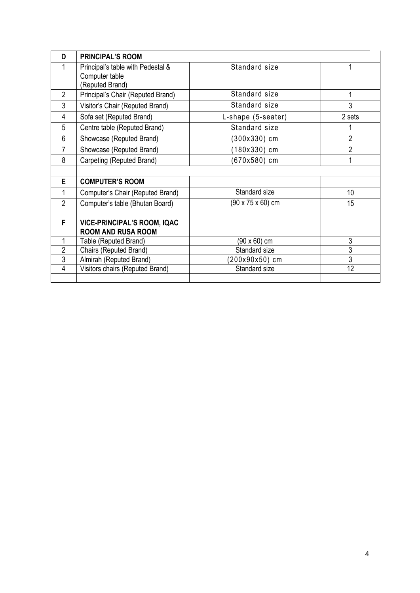| D              | <b>PRINCIPAL'S ROOM</b>            |                    |                |
|----------------|------------------------------------|--------------------|----------------|
|                | Principal's table with Pedestal &  | Standard size      |                |
|                | Computer table                     |                    |                |
|                | (Reputed Brand)                    |                    |                |
| $\overline{2}$ | Principal's Chair (Reputed Brand)  | Standard size      | 1              |
| 3              | Visitor's Chair (Reputed Brand)    | Standard size      | 3              |
| $\overline{4}$ | Sofa set (Reputed Brand)           | L-shape (5-seater) | 2 sets         |
| 5              | Centre table (Reputed Brand)       | Standard size      |                |
| 6              | Showcase (Reputed Brand)           | (300x330) cm       | $\overline{2}$ |
| $\overline{7}$ | Showcase (Reputed Brand)           | (180x330) cm       | $\overline{2}$ |
| 8              | Carpeting (Reputed Brand)          | (670x580) cm       |                |
|                |                                    |                    |                |
| E              | <b>COMPUTER'S ROOM</b>             |                    |                |
|                | Computer's Chair (Reputed Brand)   | Standard size      | 10             |
| $\overline{2}$ | Computer's table (Bhutan Board)    | (90 x 75 x 60) cm  | 15             |
|                |                                    |                    |                |
| F              | <b>VICE-PRINCIPAL'S ROOM, IQAC</b> |                    |                |
|                | <b>ROOM AND RUSA ROOM</b>          |                    |                |
|                | Table (Reputed Brand)              | (90 x 60) cm       | 3              |
| $\overline{2}$ | Chairs (Reputed Brand)             | Standard size      | 3              |
| 3              | Almirah (Reputed Brand)            | 200x90x50) cm      | 3              |
| 4              | Visitors chairs (Reputed Brand)    | Standard size      | 12             |
|                |                                    |                    |                |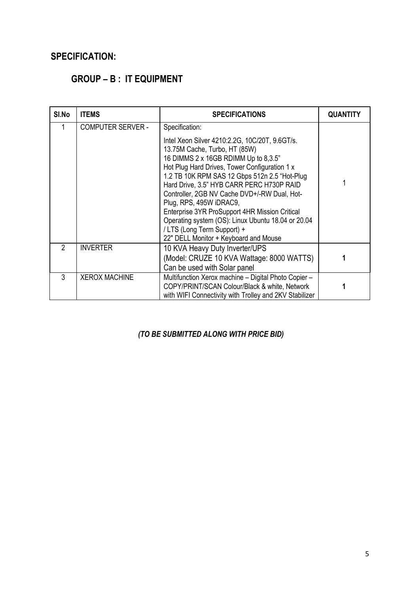## **SPECIFICATION:**

# **GROUP – B : IT EQUIPMENT**

| SI.No | <b>ITEMS</b>             | <b>SPECIFICATIONS</b>                                                                                                                                                                                                                                                                                                                                                                                                                                                                                                                               | <b>QUANTITY</b> |
|-------|--------------------------|-----------------------------------------------------------------------------------------------------------------------------------------------------------------------------------------------------------------------------------------------------------------------------------------------------------------------------------------------------------------------------------------------------------------------------------------------------------------------------------------------------------------------------------------------------|-----------------|
|       | <b>COMPUTER SERVER -</b> | Specification:<br>Intel Xeon Silver 4210:2.2G, 10C/20T, 9.6GT/s.<br>13.75M Cache, Turbo, HT (85W)<br>16 DIMMS 2 x 16GB RDIMM Up to 8,3.5"<br>Hot Plug Hard Drives, Tower Configuration 1 x<br>1.2 TB 10K RPM SAS 12 Gbps 512n 2.5 "Hot-Plug<br>Hard Drive, 3.5" HYB CARR PERC H730P RAID<br>Controller, 2GB NV Cache DVD+/-RW Dual, Hot-<br>Plug, RPS, 495W iDRAC9,<br>Enterprise 3YR ProSupport 4HR Mission Critical<br>Operating system (OS): Linux Ubuntu 18.04 or 20.04<br>/ LTS (Long Term Support) +<br>22" DELL Monitor + Keyboard and Mouse |                 |
| 2     | <b>INVERTER</b>          | 10 KVA Heavy Duty Inverter/UPS<br>(Model: CRUZE 10 KVA Wattage: 8000 WATTS)<br>Can be used with Solar panel                                                                                                                                                                                                                                                                                                                                                                                                                                         |                 |
| 3     | <b>XEROX MACHINE</b>     | Multifunction Xerox machine - Digital Photo Copier -<br>COPY/PRINT/SCAN Colour/Black & white, Network<br>with WIFI Connectivity with Trolley and 2KV Stabilizer                                                                                                                                                                                                                                                                                                                                                                                     |                 |

### *(TO BE SUBMITTED ALONG WITH PRICE BID)*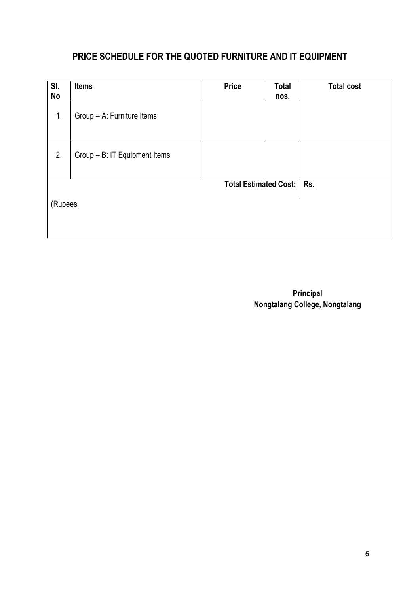# **PRICE SCHEDULE FOR THE QUOTED FURNITURE AND IT EQUIPMENT**

| SI.<br>No | <b>Items</b>                  | <b>Price</b>                 | <b>Total</b><br>nos. | <b>Total cost</b> |
|-----------|-------------------------------|------------------------------|----------------------|-------------------|
| 1.        | Group - A: Furniture Items    |                              |                      |                   |
| 2.        | Group - B: IT Equipment Items |                              |                      |                   |
|           |                               | <b>Total Estimated Cost:</b> |                      | Rs.               |
| (Rupees   |                               |                              |                      |                   |
|           |                               |                              |                      |                   |

 **Principal Nongtalang College, Nongtalang**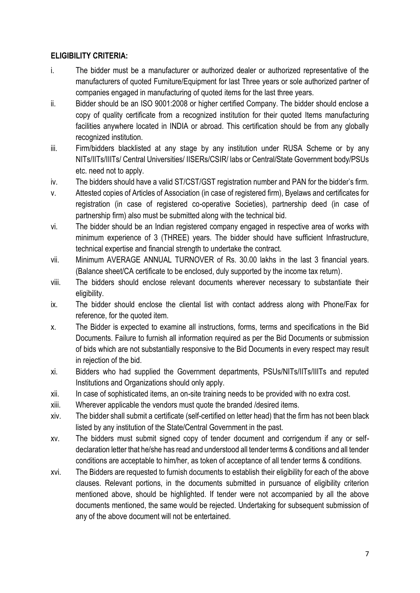### **ELIGIBILITY CRITERIA:**

- i. The bidder must be a manufacturer or authorized dealer or authorized representative of the manufacturers of quoted Furniture/Equipment for last Three years or sole authorized partner of companies engaged in manufacturing of quoted items for the last three years.
- ii. Bidder should be an ISO 9001:2008 or higher certified Company. The bidder should enclose a copy of quality certificate from a recognized institution for their quoted Items manufacturing facilities anywhere located in INDIA or abroad. This certification should be from any globally recognized institution.
- iii. Firm/bidders blacklisted at any stage by any institution under RUSA Scheme or by any NITs/IITs/IIITs/ Central Universities/ IISERs/CSIR/ labs or Central/State Government body/PSUs etc. need not to apply.
- iv. The bidders should have a valid ST/CST/GST registration number and PAN for the bidder's firm.
- v. Attested copies of Articles of Association (in case of registered firm), Byelaws and certificates for registration (in case of registered co-operative Societies), partnership deed (in case of partnership firm) also must be submitted along with the technical bid.
- vi. The bidder should be an Indian registered company engaged in respective area of works with minimum experience of 3 (THREE) years. The bidder should have sufficient Infrastructure, technical expertise and financial strength to undertake the contract.
- vii. Minimum AVERAGE ANNUAL TURNOVER of Rs. 30.00 lakhs in the last 3 financial years. (Balance sheet/CA certificate to be enclosed, duly supported by the income tax return).
- viii. The bidders should enclose relevant documents wherever necessary to substantiate their eligibility.
- ix. The bidder should enclose the cliental list with contact address along with Phone/Fax for reference, for the quoted item.
- x. The Bidder is expected to examine all instructions, forms, terms and specifications in the Bid Documents. Failure to furnish all information required as per the Bid Documents or submission of bids which are not substantially responsive to the Bid Documents in every respect may result in rejection of the bid.
- xi. Bidders who had supplied the Government departments, PSUs/NITs/IITs/IIITs and reputed Institutions and Organizations should only apply.
- xii. In case of sophisticated items, an on-site training needs to be provided with no extra cost.
- xiii. Wherever applicable the vendors must quote the branded /desired items.
- xiv. The bidder shall submit a certificate (self-certified on letter head) that the firm has not been black listed by any institution of the State/Central Government in the past.
- xv. The bidders must submit signed copy of tender document and corrigendum if any or selfdeclaration letter that he/she has read and understood all tender terms & conditions and all tender conditions are acceptable to him/her, as token of acceptance of all tender terms & conditions.
- xvi. The Bidders are requested to furnish documents to establish their eligibility for each of the above clauses. Relevant portions, in the documents submitted in pursuance of eligibility criterion mentioned above, should be highlighted. If tender were not accompanied by all the above documents mentioned, the same would be rejected. Undertaking for subsequent submission of any of the above document will not be entertained.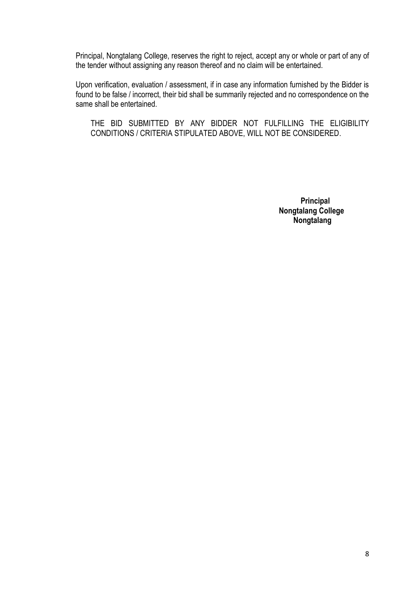Principal, Nongtalang College, reserves the right to reject, accept any or whole or part of any of the tender without assigning any reason thereof and no claim will be entertained.

Upon verification, evaluation / assessment, if in case any information furnished by the Bidder is found to be false / incorrect, their bid shall be summarily rejected and no correspondence on the same shall be entertained.

THE BID SUBMITTED BY ANY BIDDER NOT FULFILLING THE ELIGIBILITY CONDITIONS / CRITERIA STIPULATED ABOVE, WILL NOT BE CONSIDERED.

> **Principal Nongtalang College Nongtalang**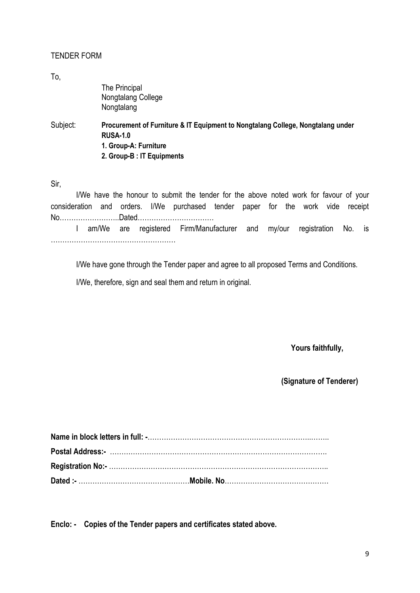#### TENDER FORM

To,

Subject: **Procurement of Furniture & IT Equipment to Nongtalang College, Nongtalang under RUSA-1.0 1. Group-A: Furniture 2. Group-B : IT Equipments**

Sir,

I/We have the honour to submit the tender for the above noted work for favour of your consideration and orders. I/We purchased tender paper for the work vide receipt No……………………..Dated……………………………

 I am/We are registered Firm/Manufacturer and my/our registration No. is ………………………………………………

I/We have gone through the Tender paper and agree to all proposed Terms and Conditions.

I/We, therefore, sign and seal them and return in original.

**Yours faithfully,**

**(Signature of Tenderer)**

**Enclo: - Copies of the Tender papers and certificates stated above.**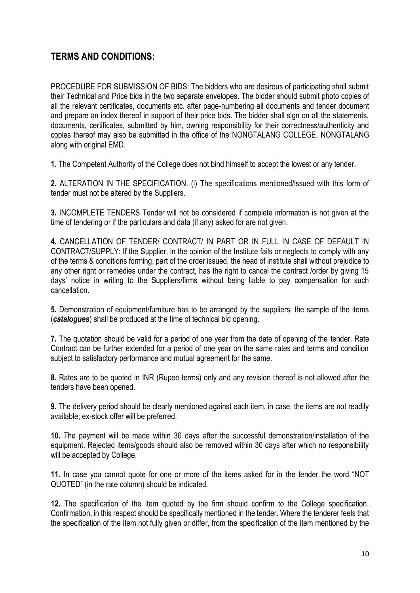## **TERMS AND CONDITIONS:**

PROCEDURE FOR SUBMISSION OF BIDS: The bidders who are desirous of participating shall submit their Technical and Price bids in the two separate envelopes. The bidder should submit photo copies of all the relevant certificates, documents etc. after page-numbering all documents and tender document and prepare an index thereof in support of their price bids. The bidder shall sign on all the statements, documents, certificates, submitted by him, owning responsibility for their correctness/authenticity and copies thereof may also be submitted in the office of the NONGTALANG COLLEGE, NONGTALANG along with original EMD.

**1.** The Competent Authority of the College does not bind himself to accept the lowest or any tender.

**2.** ALTERATION IN THE SPECIFICATION. (i) The specifications mentioned/issued with this form of tender must not be altered by the Suppliers.

**3.** INCOMPLETE TENDERS Tender will not be considered if complete information is not given at the time of tendering or if the particulars and data (if any) asked for are not given.

**4.** CANCELLATION OF TENDER/ CONTRACT/ IN PART OR IN FULL IN CASE OF DEFAULT IN CONTRACT/SUPPLY: If the Supplier, in the opinion of the Institute fails or neglects to comply with any of the terms & conditions forming, part of the order issued, the head of institute shall without prejudice to any other right or remedies under the contract, has the right to cancel the contract /order by giving 15 days' notice in writing to the Suppliers/firms without being liable to pay compensation for such cancellation.

**5.** Demonstration of equipment/furniture has to be arranged by the suppliers; the sample of the items (*catalogues*) shall be produced at the time of technical bid opening.

**7.** The quotation should be valid for a period of one year from the date of opening of the tender. Rate Contract can be further extended for a period of one year on the same rates and terms and condition subject to satisfactory performance and mutual agreement for the same.

**8.** Rates are to be quoted in INR (Rupee terms) only and any revision thereof is not allowed after the tenders have been opened.

**9.** The delivery period should be clearly mentioned against each item, in case, the items are not readily available; ex-stock offer will be preferred.

**10.** The payment will be made within 30 days after the successful demonstration/installation of the equipment. Rejected items/goods should also be removed within 30 days after which no responsibility will be accepted by College.

**11.** In case you cannot quote for one or more of the items asked for in the tender the word "NOT QUOTED" (in the rate column) should be indicated.

**12.** The specification of the item quoted by the firm should confirm to the College specification. Confirmation, in this respect should be specifically mentioned in the tender. Where the tenderer feels that the specification of the item not fully given or differ, from the specification of the item mentioned by the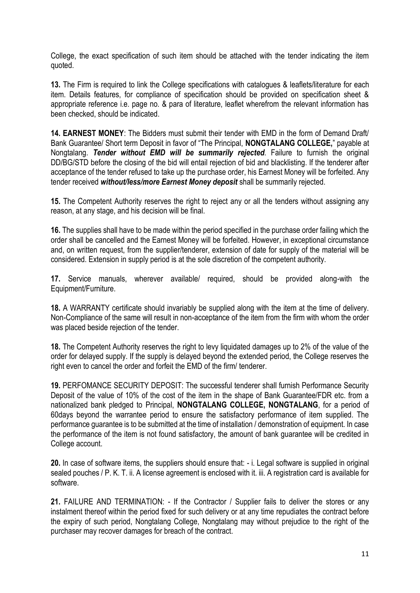College, the exact specification of such item should be attached with the tender indicating the item quoted.

**13.** The Firm is required to link the College specifications with catalogues & leaflets/literature for each item. Details features, for compliance of specification should be provided on specification sheet & appropriate reference i.e. page no. & para of literature, leaflet wherefrom the relevant information has been checked, should be indicated.

**14. EARNEST MONEY**: The Bidders must submit their tender with EMD in the form of Demand Draft/ Bank Guarantee/ Short term Deposit in favor of "The Principal, **NONGTALANG COLLEGE,**" payable at Nongtalang. *Tender without EMD will be summarily rejected*. Failure to furnish the original DD/BG/STD before the closing of the bid will entail rejection of bid and blacklisting. If the tenderer after acceptance of the tender refused to take up the purchase order, his Earnest Money will be forfeited. Any tender received *without/less/more Earnest Money deposit* shall be summarily rejected.

**15.** The Competent Authority reserves the right to reject any or all the tenders without assigning any reason, at any stage, and his decision will be final.

**16.** The supplies shall have to be made within the period specified in the purchase order failing which the order shall be cancelled and the Earnest Money will be forfeited. However, in exceptional circumstance and, on written request, from the supplier/tenderer, extension of date for supply of the material will be considered. Extension in supply period is at the sole discretion of the competent authority.

**17.** Service manuals, wherever available/ required, should be provided along-with the Equipment/Furniture.

**18.** A WARRANTY certificate should invariably be supplied along with the item at the time of delivery. Non-Compliance of the same will result in non-acceptance of the item from the firm with whom the order was placed beside rejection of the tender.

**18.** The Competent Authority reserves the right to levy liquidated damages up to 2% of the value of the order for delayed supply. If the supply is delayed beyond the extended period, the College reserves the right even to cancel the order and forfeit the EMD of the firm/ tenderer.

**19.** PERFOMANCE SECURITY DEPOSIT: The successful tenderer shall furnish Performance Security Deposit of the value of 10% of the cost of the item in the shape of Bank Guarantee/FDR etc. from a nationalized bank pledged to Principal, **NONGTALANG COLLEGE, NONGTALANG**, for a period of 60days beyond the warrantee period to ensure the satisfactory performance of item supplied. The performance guarantee is to be submitted at the time of installation / demonstration of equipment. In case the performance of the item is not found satisfactory, the amount of bank guarantee will be credited in College account.

**20.** In case of software items, the suppliers should ensure that: - i. Legal software is supplied in original sealed pouches / P. K. T. ii. A license agreement is enclosed with it. iii. A registration card is available for software.

**21.** FAILURE AND TERMINATION: - If the Contractor / Supplier fails to deliver the stores or any instalment thereof within the period fixed for such delivery or at any time repudiates the contract before the expiry of such period. Nongtalang College, Nongtalang may without prejudice to the right of the purchaser may recover damages for breach of the contract.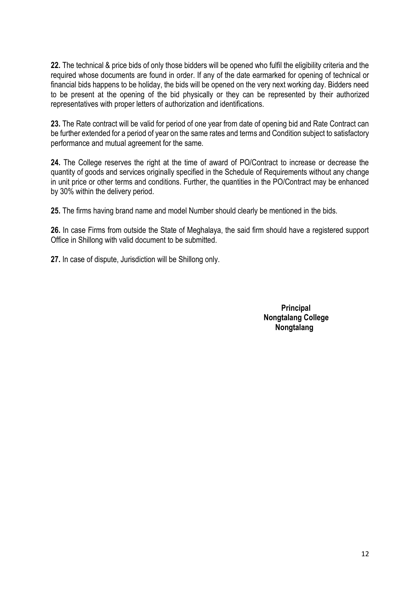**22.** The technical & price bids of only those bidders will be opened who fulfil the eligibility criteria and the required whose documents are found in order. If any of the date earmarked for opening of technical or financial bids happens to be holiday, the bids will be opened on the very next working day. Bidders need to be present at the opening of the bid physically or they can be represented by their authorized representatives with proper letters of authorization and identifications.

**23.** The Rate contract will be valid for period of one year from date of opening bid and Rate Contract can be further extended for a period of year on the same rates and terms and Condition subject to satisfactory performance and mutual agreement for the same.

**24.** The College reserves the right at the time of award of PO/Contract to increase or decrease the quantity of goods and services originally specified in the Schedule of Requirements without any change in unit price or other terms and conditions. Further, the quantities in the PO/Contract may be enhanced by 30% within the delivery period.

**25.** The firms having brand name and model Number should clearly be mentioned in the bids.

**26.** In case Firms from outside the State of Meghalaya, the said firm should have a registered support Office in Shillong with valid document to be submitted.

**27.** In case of dispute, Jurisdiction will be Shillong only.

**Principal Nongtalang College Nongtalang**